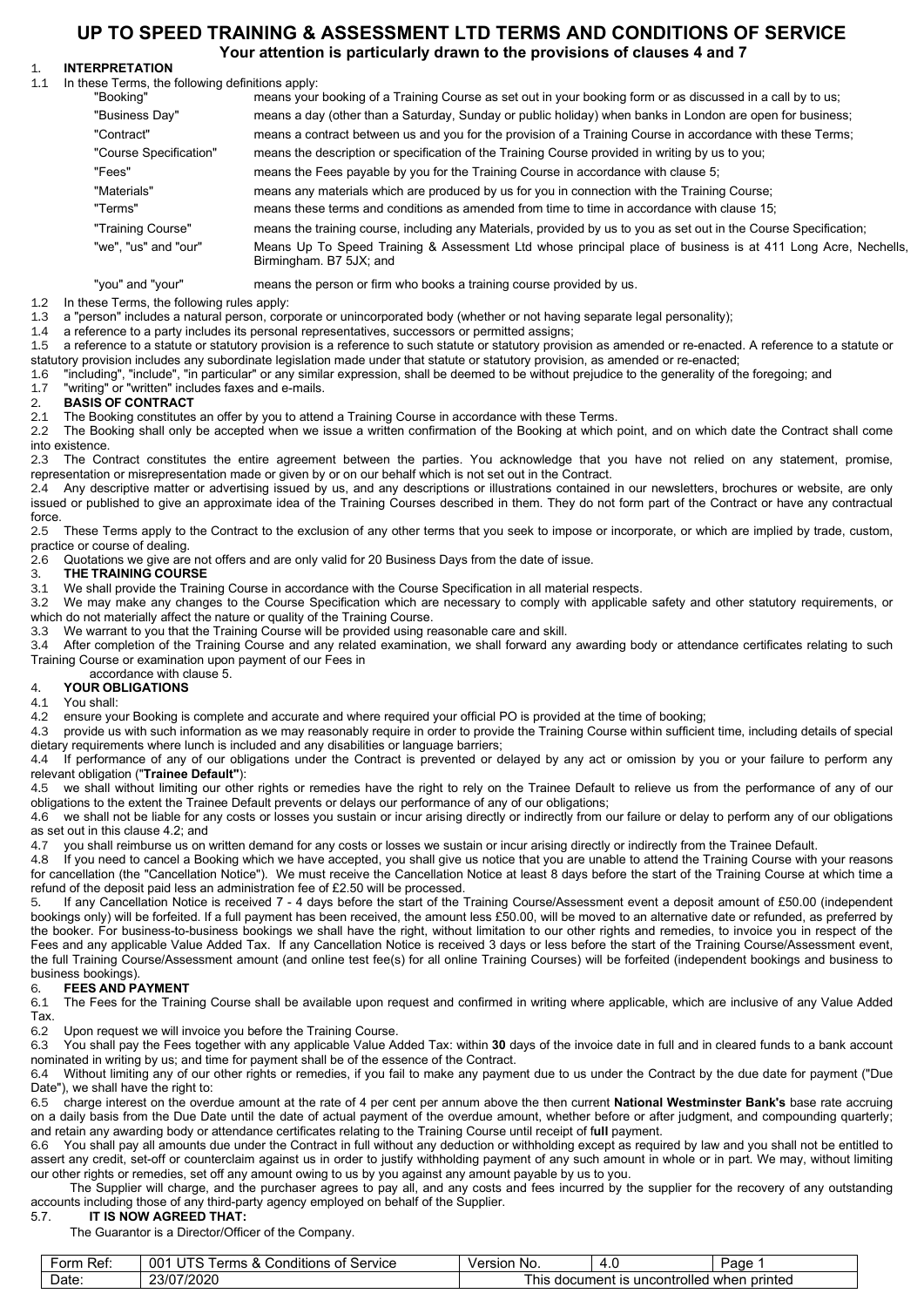# **UP TO SPEED TRAINING & ASSESSMENT LTD TERMS AND CONDITIONS OF SERVICE**

## **Your attention is particularly drawn to the provisions of clauses 4 and 7**

# 1. **INTERPRETATION**

In these Terms, the following definitions apply:

| "Booking"               | means your booking of a Training Course as set out in your booking form or as discussed in a call by to us;                             |
|-------------------------|-----------------------------------------------------------------------------------------------------------------------------------------|
| "Business Day"          | means a day (other than a Saturday, Sunday or public holiday) when banks in London are open for business;                               |
| "Contract"              | means a contract between us and you for the provision of a Training Course in accordance with these Terms;                              |
| "Course Specification"  | means the description or specification of the Training Course provided in writing by us to you;                                         |
| "Fees"                  | means the Fees payable by you for the Training Course in accordance with clause 5;                                                      |
| "Materials"             | means any materials which are produced by us for you in connection with the Training Course;                                            |
| "Terms"                 | means these terms and conditions as amended from time to time in accordance with clause 15;                                             |
| "Training Course"       | means the training course, including any Materials, provided by us to you as set out in the Course Specification;                       |
| "we". "us" and "our"    | Means Up To Speed Training & Assessment Ltd whose principal place of business is at 411 Long Acre, Nechells,<br>Birmingham. B7 5JX; and |
| $"$ would not $"$ would | moans the person or firm who books a training course provided by us                                                                     |

"you" and "your" means the person or firm who books a training course provided by us.

1.2 In these Terms, the following rules apply:<br>1.3 a "person" includes a natural person. corre

1.3 a "person" includes a natural person, corporate or unincorporated body (whether or not having separate legal personality);

1.4 a reference to a party includes its personal representatives, successors or permitted assigns;

a reference to a statute or statutory provision is a reference to such statute or statutory provision as amended or re-enacted. A reference to a statute or statutory provision includes any subordinate legislation made under that statute or statutory provision, as amended or re-enacted;<br>1.6 Tincluding". "include". "in particular" or any similar expression, shall be deemed to b

1.6 "including", "include", "in particular" or any similar expression, shall be deemed to be without prejudice to the generality of the foregoing; and

## 1.7 "writing" or "written" includes faxes and e-mails.

# 2. **BASIS OF CONTRACT**

2.1 The Booking constitutes an offer by you to attend a Training Course in accordance with these Terms.<br>2.2 The Booking shall only be accepted when we issue a written confirmation of the Booking at which

The Booking shall only be accepted when we issue a written confirmation of the Booking at which point, and on which date the Contract shall come into existence.

2.3 The Contract constitutes the entire agreement between the parties. You acknowledge that you have not relied on any statement, promise, representation or misrepresentation made or given by or on our behalf which is not set out in the Contract.

2.4 Any descriptive matter or advertising issued by us, and any descriptions or illustrations contained in our newsletters, brochures or website, are only issued or published to give an approximate idea of the Training Courses described in them. They do not form part of the Contract or have any contractual force.<br>2.5

2.5 These Terms apply to the Contract to the exclusion of any other terms that you seek to impose or incorporate, or which are implied by trade, custom, practice or course of dealing.

2.6 Quotations we give are not offers and are only valid for 20 Business Days from the date of issue.<br>3. THE TRAINING COURSE

# 3. **THE TRAINING COURSE**

We shall provide the Training Course in accordance with the Course Specification in all material respects.

3.2 We may make any changes to the Course Specification which are necessary to comply with applicable safety and other statutory requirements, or which do not materially affect the nature or quality of the Training Course.<br>3.3 We warrant to you that the Training Course will be provided using re

3.3 We warrant to you that the Training Course will be provided using reasonable care and skill.<br>3.4 After completion of the Training Course and any related examination, we shall forward an

3.4 After completion of the Training Course and any related examination, we shall forward any awarding body or attendance certificates relating to such Training Course or examination upon payment of our Fees in

accordance with clause 5.<br>4. **YOUR OBLIGATIONS** 

## 4. **YOUR OBLIGATIONS**

4.1 You shall:

4.2 ensure your Booking is complete and accurate and where required your official PO is provided at the time of booking;<br>4.3 provide us with such information as we may reasonably require in order to provide the Training Co

provide us with such information as we may reasonably require in order to provide the Training Course within sufficient time, including details of special dietary requirements where lunch is included and any disabilities or language barriers;

4.4 If performance of any of our obligations under the Contract is prevented or delayed by any act or omission by you or your failure to perform any relevant obligation ("**Trainee Default"**):

4.5 we shall without limiting our other rights or remedies have the right to rely on the Trainee Default to relieve us from the performance of any of our obligations to the extent the Trainee Default prevents or delays our performance of any of our obligations;

4.6 we shall not be liable for any costs or losses you sustain or incur arising directly or indirectly from our failure or delay to perform any of our obligations as set out in this clause 4.2; and<br>4.7 vou shall reimburse us on

4.7 you shall reimburse us on written demand for any costs or losses we sustain or incur arising directly or indirectly from the Trainee Default.<br>4.8 If you need to cancel a Booking which we have accepted, you shall give u

If you need to cancel a Booking which we have accepted, you shall give us notice that you are unable to attend the Training Course with your reasons for cancellation (the "Cancellation Notice"). We must receive the Cancellation Notice at least 8 days before the start of the Training Course at which time a refund of the deposit paid less an administration fee of £2.50 will be processed.

5. If any Cancellation Notice is received 7 - 4 days before the start of the Training Course/Assessment event a deposit amount of £50.00 (independent bookings only) will be forfeited. If a full payment has been received, the amount less £50.00, will be moved to an alternative date or refunded, as preferred by the booker. For business-to-business bookings we shall have the right, without limitation to our other rights and remedies, to invoice you in respect of the Fees and any applicable Value Added Tax. If any Cancellation Notice is received 3 days or less before the start of the Training Course/Assessment event, the full Training Course/Assessment amount (and online test fee(s) for all online Training Courses) will be forfeited (independent bookings and business to business bookings).

6. **FEES AND PAYMENT** The Fees for the Training Course shall be available upon request and confirmed in writing where applicable, which are inclusive of any Value Added Tax.

6.2 Upon request we will invoice you before the Training Course.

6.3 You shall pay the Fees together with any applicable Value Added Tax: within **30** days of the invoice date in full and in cleared funds to a bank account nominated in writing by us; and time for payment shall be of the essence of the Contract.

6.4 Without limiting any of our other rights or remedies, if you fail to make any payment due to us under the Contract by the due date for payment ("Due Date"), we shall have the right to:

6.5 charge interest on the overdue amount at the rate of 4 per cent per annum above the then current **National Westminster Bank's** base rate accruing on a daily basis from the Due Date until the date of actual payment of the overdue amount, whether before or after judgment, and compounding quarterly; and retain any awarding body or attendance certificates relating to the Training Course until receipt of f**ull** payment.

6.6 You shall pay all amounts due under the Contract in full without any deduction or withholding except as required by law and you shall not be entitled to assert any credit, set-off or counterclaim against us in order to justify withholding payment of any such amount in whole or in part. We may, without limiting our other rights or remedies, set off any amount owing to us by you against any amount payable by us to you.

 The Supplier will charge, and the purchaser agrees to pay all, and any costs and fees incurred by the supplier for the recovery of any outstanding accounts including those of any third-party agency employed on behalf of the Supplier.<br>5.7. **IT IS NOW AGREED THAT:** 

## 5.7. **IT IS NOW AGREED THAT:**

The Guarantor is a Director/Officer of the Company.

| _<br>orm<br>Ref: | .<br>$- - -$<br>00·<br>Service<br>v<br>್ರonditions ∩<br><b>Arme</b><br>$\alpha$<br>$\sim$<br>כו ו | Version<br><b>No</b>                                            | . . | Page |
|------------------|---------------------------------------------------------------------------------------------------|-----------------------------------------------------------------|-----|------|
| Date             | 23/07/2020                                                                                        | printed<br>i uncontrolled<br>. wher<br>hic<br>document is<br>ша |     |      |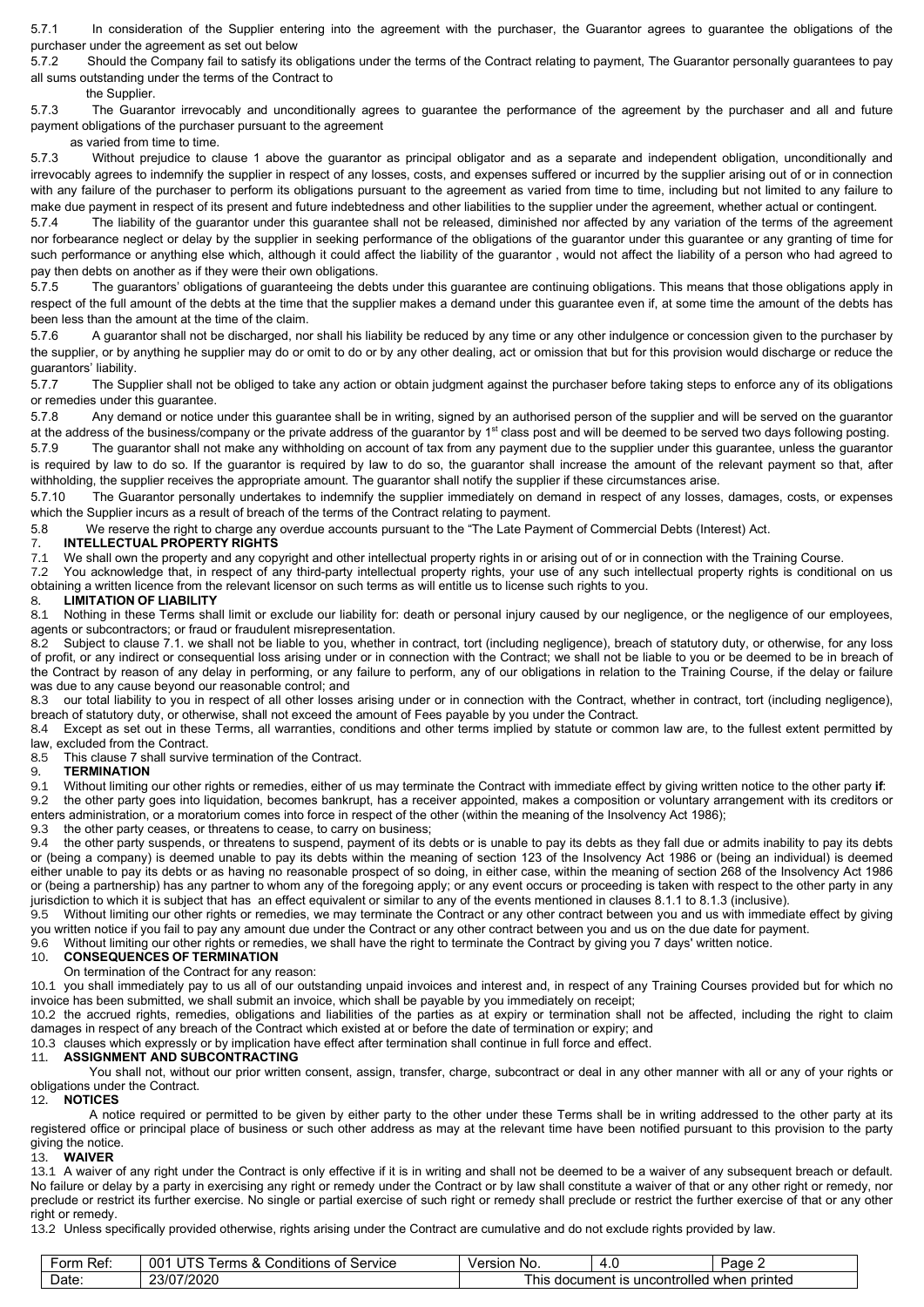5.7.1 In consideration of the Supplier entering into the agreement with the purchaser, the Guarantor agrees to guarantee the obligations of the purchaser under the agreement as set out below<br>5.7.2 Should the Company fail to satisfy its o

Should the Company fail to satisfy its obligations under the terms of the Contract relating to payment, The Guarantor personally guarantees to pay all sums outstanding under the terms of the Contract to

the Supplier.<br>5.7.3 The Guara The Guarantor irrevocably and unconditionally agrees to guarantee the performance of the agreement by the purchaser and all and future payment obligations of the purchaser pursuant to the agreement

as varied from time to time.

5.7.3 Without prejudice to clause 1 above the guarantor as principal obligator and as a separate and independent obligation, unconditionally and irrevocably agrees to indemnify the supplier in respect of any losses, costs, and expenses suffered or incurred by the supplier arising out of or in connection with any failure of the purchaser to perform its obligations pursuant to the agreement as varied from time to time, including but not limited to any failure to

make due payment in respect of its present and future indebtedness and other liabilities to the supplier under the agreement, whether actual or contingent.<br>5.7.4 The liability of the quarantor under this quarantee shall no The liability of the guarantor under this guarantee shall not be released, diminished nor affected by any variation of the terms of the agreement nor forbearance neglect or delay by the supplier in seeking performance of the obligations of the guarantor under this guarantee or any granting of time for such performance or anything else which, although it could affect the liability of the guarantor , would not affect the liability of a person who had agreed to pay then debts on another as if they were their own obligations.

5.7.5 The guarantors' obligations of guaranteeing the debts under this guarantee are continuing obligations. This means that those obligations apply in respect of the full amount of the debts at the time that the supplier makes a demand under this guarantee even if, at some time the amount of the debts has been less than the amount at the time of the claim.

5.7.6 A guarantor shall not be discharged, nor shall his liability be reduced by any time or any other indulgence or concession given to the purchaser by the supplier, or by anything he supplier may do or omit to do or by any other dealing, act or omission that but for this provision would discharge or reduce the

guarantors' liability.<br>5.7.7 The Sup The Supplier shall not be obliged to take any action or obtain judgment against the purchaser before taking steps to enforce any of its obligations or remedies under this guarantee.

5.7.8 Any demand or notice under this guarantee shall be in writing, signed by an authorised person of the supplier and will be served on the guarantor at the address of the business/company or the private address of the guarantor by 1<sup>st</sup> class post and will be deemed to be served two days following posting.

5.7.9 The guarantor shall not make any withholding on account of tax from any payment due to the supplier under this guarantee, unless the guarantor is required by law to do so. If the guarantor is required by law to do so, the guarantor shall increase the amount of the relevant payment so that, after withholding, the supplier receives the appropriate amount. The guarantor shall notify the supplier if these circumstances arise.

5.7.10 The Guarantor personally undertakes to indemnify the supplier immediately on demand in respect of any losses, damages, costs, or expenses which the Supplier incurs as a result of breach of the terms of the Contract relating to payment.

5.8 We reserve the right to charge any overdue accounts pursuant to the "The Late Payment of Commercial Debts (Interest) Act.

# 7. **INTELLECTUAL PROPERTY RIGHTS**

7.1 We shall own the property and any copyright and other intellectual property rights in or arising out of or in connection with the Training Course.<br>7.2 You acknowledge that, in respect of any third-party intellectual pr

You acknowledge that, in respect of any third-party intellectual property rights, your use of any such intellectual property rights is conditional on us obtaining a written licence from the relevant licensor on such terms as will entitle us to license such rights to you.<br>8. LIMITATION OF LIABILITY

# 8. **LIMITATION OF LIABILITY**

Nothing in these Terms shall limit or exclude our liability for: death or personal injury caused by our negligence, or the negligence of our employees, agents or subcontractors; or fraud or fraudulent misrepresentation.

8.2 Subject to clause 7.1. we shall not be liable to you, whether in contract, tort (including negligence), breach of statutory duty, or otherwise, for any loss of profit, or any indirect or consequential loss arising under or in connection with the Contract; we shall not be liable to you or be deemed to be in breach of the Contract by reason of any delay in performing, or any failure to perform, any of our obligations in relation to the Training Course, if the delay or failure was due to any cause beyond our reasonable control; and 8.3 our total liability to you in respect of all other losses

our total liability to you in respect of all other losses arising under or in connection with the Contract, whether in contract, tort (including negligence), breach of statutory duty, or otherwise, shall not exceed the amount of Fees payable by you under the Contract.

8.4 Except as set out in these Terms, all warranties, conditions and other terms implied by statute or common law are, to the fullest extent permitted by law, excluded from the Contract.<br>8.5 This clause 7 shall survive

8.5 This clause 7 shall survive termination of the Contract.<br>9. TERMINATION

# 9.1 **TERMINATION**<br>9.1 Without limiting

9.1 Without limiting our other rights or remedies, either of us may terminate the Contract with immediate effect by giving written notice to the other party **if**:

9.2 the other party goes into liquidation, becomes bankrupt, has a receiver appointed, makes a composition or voluntary arrangement with its creditors or enters administration, or a moratorium comes into force in respect of the other (within the meaning of the Insolvency Act 1986);

9.3 the other party ceases, or threatens to cease, to carry on business;<br>9.4 the other party suspends or threatens to suspend, payment of its of

9.4 the other party suspends, or threatens to suspend, payment of its debts or is unable to pay its debts as they fall due or admits inability to pay its debts or (being a company) is deemed unable to pay its debts within the meaning of section 123 of the Insolvency Act 1986 or (being an individual) is deemed either unable to pay its debts or as having no reasonable prospect of so doing, in either case, within the meaning of section 268 of the Insolvency Act 1986 or (being a partnership) has any partner to whom any of the foregoing apply; or any event occurs or proceeding is taken with respect to the other party in any jurisdiction to which it is subject that has an effect equivalent or similar to any of the events mentioned in clauses 8.1.1 to 8.1.3 (inclusive).<br>9.5 Without limiting our other rights or remedies, we may terminate the Con

9.5 Without limiting our other rights or remedies, we may terminate the Contract or any other contract between you and us with immediate effect by giving you written notice if you fail to pay any amount due under the Contract or any other contract between you and us on the due date for payment.

9.6 Without limiting our other rights or remedies, we shall have the right to terminate the Contract by giving you 7 days' written notice.<br>10. CONSEQUENCES OF TERMINATION

# 10. **CONSEQUENCES OF TERMINATION**

## On termination of the Contract for any reason:

10.1 you shall immediately pay to us all of our outstanding unpaid invoices and interest and, in respect of any Training Courses provided but for which no invoice has been submitted, we shall submit an invoice, which shall be payable by you immediately on receipt;

10.2 the accrued rights, remedies, obligations and liabilities of the parties as at expiry or termination shall not be affected, including the right to claim damages in respect of any breach of the Contract which existed at or before the date of termination or expiry; and

# 10.3 clauses which expressly or by implication have effect after termination shall continue in full force and effect.<br>11. **ASSIGNMENT AND SUBCONTRACTING**

## 11. **ASSIGNMENT AND SUBCONTRACTING**

 You shall not, without our prior written consent, assign, transfer, charge, subcontract or deal in any other manner with all or any of your rights or obligations under the Contract.

## 12. **NOTICES**

 A notice required or permitted to be given by either party to the other under these Terms shall be in writing addressed to the other party at its registered office or principal place of business or such other address as may at the relevant time have been notified pursuant to this provision to the party giving the notice.

## 13. **WAIVER**

13.1 A waiver of any right under the Contract is only effective if it is in writing and shall not be deemed to be a waiver of any subsequent breach or default. No failure or delay by a party in exercising any right or remedy under the Contract or by law shall constitute a waiver of that or any other right or remedy, nor preclude or restrict its further exercise. No single or partial exercise of such right or remedy shall preclude or restrict the further exercise of that or any other right or remedy.

13.2 Unless specifically provided otherwise, rights arising under the Contract are cumulative and do not exclude rights provided by law.

| -<br>.-orr<br>Ret: | <br>00 <sub>1</sub><br>Service<br>ำ*ms ⊾<br>Conditions<br>n1<br>$\mathbf{r}$<br>.<br>. ال<br><b>Let</b> | No.<br>/ersion                                                                  | $\overline{\phantom{a}}$<br>. . | Page ∠ |
|--------------------|---------------------------------------------------------------------------------------------------------|---------------------------------------------------------------------------------|---------------------------------|--------|
| -<br>Date          | 23/07/2020                                                                                              | -<br>printed<br>uncontrolled<br>document<br>his<br>wher<br>$\overline{c}$<br>10 |                                 |        |